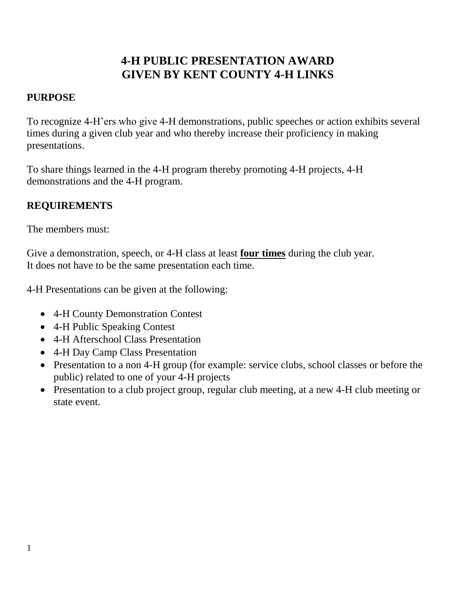## **4-H PUBLIC PRESENTATION AWARD GIVEN BY KENT COUNTY 4-H LINKS**

## **PURPOSE**

To recognize 4-H'ers who give 4-H demonstrations, public speeches or action exhibits several times during a given club year and who thereby increase their proficiency in making presentations.

To share things learned in the 4-H program thereby promoting 4-H projects, 4-H demonstrations and the 4-H program.

## **REQUIREMENTS**

The members must:

Give a demonstration, speech, or 4-H class at least **four times** during the club year. It does not have to be the same presentation each time.

4-H Presentations can be given at the following:

- 4-H County Demonstration Contest
- 4-H Public Speaking Contest
- 4-H Afterschool Class Presentation
- 4-H Day Camp Class Presentation
- Presentation to a non 4-H group (for example: service clubs, school classes or before the public) related to one of your 4-H projects
- Presentation to a club project group, regular club meeting, at a new 4-H club meeting or state event.